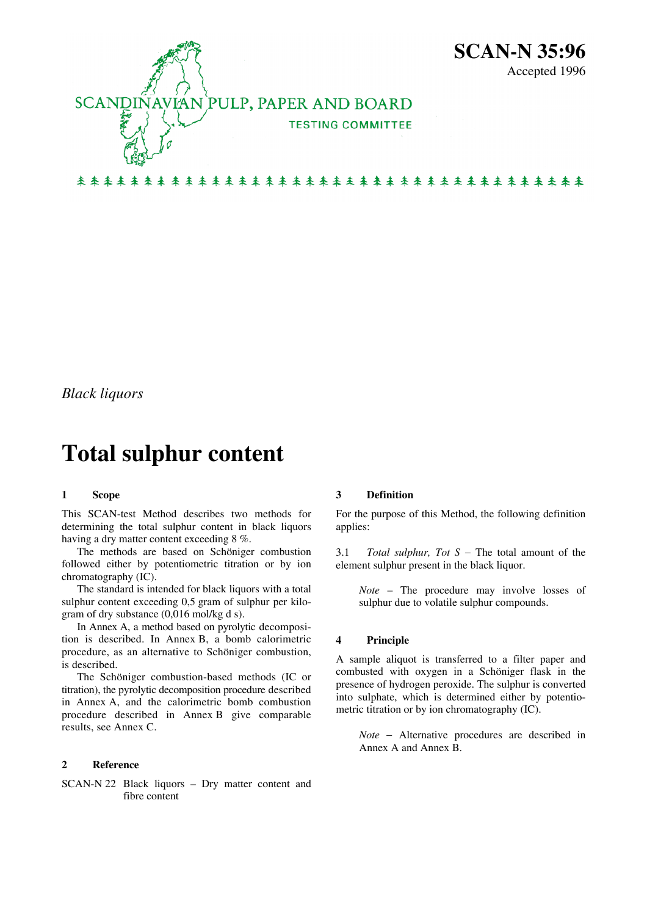

*Black liquors* 

# **Total sulphur content**

## **1 Scope**

This SCAN-test Method describes two methods for determining the total sulphur content in black liquors having a dry matter content exceeding 8 %.

 The methods are based on Schöniger combustion followed either by potentiometric titration or by ion chromatography (IC).

 The standard is intended for black liquors with a total sulphur content exceeding 0,5 gram of sulphur per kilogram of dry substance (0,016 mol/kg d s).

 In Annex A, a method based on pyrolytic decomposition is described. In Annex B, a bomb calorimetric procedure, as an alternative to Schöniger combustion, is described.

 The Schöniger combustion-based methods (IC or titration), the pyrolytic decomposition procedure described in Annex A, and the calorimetric bomb combustion procedure described in Annex B give comparable results, see Annex C.

## **2 Reference**

SCAN-N 22 Black liquors – Dry matter content and fibre content

## **3 Definition**

For the purpose of this Method, the following definition applies:

3.1 *Total sulphur, Tot S* − The total amount of the element sulphur present in the black liquor.

*Note* – The procedure may involve losses of sulphur due to volatile sulphur compounds.

## **4 Principle**

A sample aliquot is transferred to a filter paper and combusted with oxygen in a Schöniger flask in the presence of hydrogen peroxide. The sulphur is converted into sulphate, which is determined either by potentiometric titration or by ion chromatography (IC).

*Note* − Alternative procedures are described in Annex A and Annex B.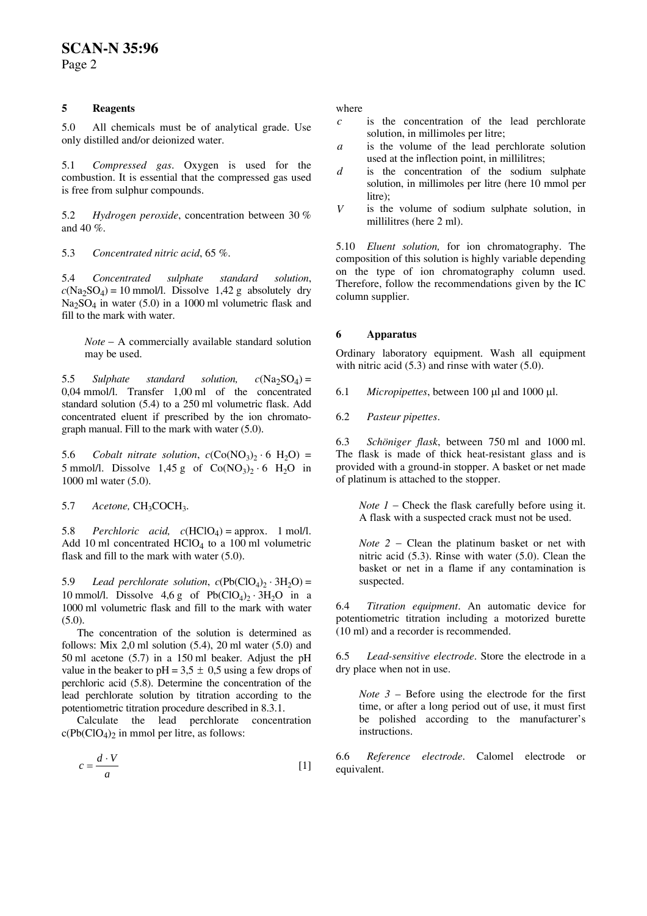## **SCAN-N 35:96**

Page 2

## **5 Reagents** where

 $5.0$  All chemicals must be of analytical grade. Use  $\frac{1}{10}$  is the concentration of the solution, in millimoles per litre;

used at the inflection point, in millilitres; 5.1 *Compressed gas*. Oxygen is used for the combustion. It is essential that the compressed gas used is free from sulphur compounds.

*<sup>V</sup>* 5.2 *Hydrogen peroxide*, concentration between 30 % and 40 %.

5.3 *Concentrated nitric acid*, 65 %.

5.4 *Concentrated sulphate standard solution*,  $c(Na_2SO_4) = 10$  mmol/l. Dissolve 1,42 g absolutely dry  $Na<sub>2</sub>SO<sub>4</sub>$  in water (5.0) in a 1000 ml volumetric flask and fill to the mark with water.

**6 Apparatus** *Note* − A commercially available standard solution may be used. Ordinary laboratory equipment. Wash all equipment

5.5 *Sulphate standard solution,*  $c(Na_2SO_4) =$ 0,04 mmol/l. Transfer 1,00 ml of the concentrated standard solution (5.4) to a 250 ml volumetric flask. Add concentrated eluent if prescribed by the ion chromatograph manual. Fill to the mark with water (5.0).

5.6 *Cobalt nitrate solution,*  $c(Co(NO_3)_{2} \cdot 6 H_2O)$  *=* 5 mmol/l. Dissolve 1,45 g of  $Co(NO<sub>3</sub>)<sub>2</sub> · 6$  H<sub>2</sub>O in 1000 ml water (5.0).

5.7 Acetone, CH<sub>3</sub>COCH<sub>3</sub>.

5.8 *Perchloric acid.*  $c(HClO<sub>4</sub>) =$  approx. 1 mol/l. Add 10 ml concentrated  $HCIO<sub>4</sub>$  to a 100 ml volumetric flask and fill to the mark with water (5.0).

5.9 *Lead perchlorate solution,*  $c(Pb(CIO<sub>4</sub>)<sub>2</sub> · 3H<sub>2</sub>O)$  *= suspected.* 10 mmol/l. Dissolve  $4.6 g$  of Pb(ClO<sub>4</sub>)<sub>2</sub> ⋅ 3H<sub>2</sub>O in a 1000 ml volumetric flask and fill to the mark with water (5.0).

The concentration of the solution is determined as  $(10 \text{ ml})$  and a recorder is recommended. follows: Mix  $2,0$  ml solution  $(5.4)$ ,  $20$  ml water  $(5.0)$  and 50 ml acetone (5.7) in a 150 ml beaker. Adjust the pH value in the beaker to  $pH = 3.5 \pm 0.5$  using a few drops of perchloric acid (5.8). Determine the concentration of the lead perchlorate solution by titration according to the potentiometric titration procedure described in 8.3.1.

 Calculate the lead perchlorate concentration  $c(Pb(CIO<sub>4</sub>)<sub>2</sub>$  in mmol per litre, as follows:

$$
c = \frac{d \cdot V}{a} \tag{1}
$$

- *c* is the concentration of the lead perchlorate
- a is the volume of the lead perchlorate solution
- is the concentration of the sodium sulphate solution, in millimoles per litre (here 10 mmol per litre): *d*
- is the volume of sodium sulphate solution, in millilitres (here 2 ml).

5.10 *Eluent solution,* for ion chromatography. The composition of this solution is highly variable depending on the type of ion chromatography column used. Therefore, follow the recommendations given by the IC column supplier.

with nitric acid (5.3) and rinse with water (5.0).

6.1 *Micropipettes*, between 100 μl and 1000 μl.

6.2 *Pasteur pipettes*.

6.3 *Schöniger flask*, between 750 ml and 1000 ml. The flask is made of thick heat-resistant glass and is provided with a ground-in stopper. A basket or net made of platinum is attached to the stopper.

*Note 1* − Check the flask carefully before using it. A flask with a suspected crack must not be used.

*Note 2* − Clean the platinum basket or net with nitric acid (5.3). Rinse with water (5.0). Clean the basket or net in a flame if any contamination is

6.4 *Titration equipment*. An automatic device for potentiometric titration including a motorized burette

6.5 *Lead-sensitive electrode*. Store the electrode in a dry place when not in use.

*Note 3* – Before using the electrode for the first time, or after a long period out of use, it must first be polished according to the manufacturer's instructions.

6.6 *Reference electrode*. Calomel electrode or equivalent.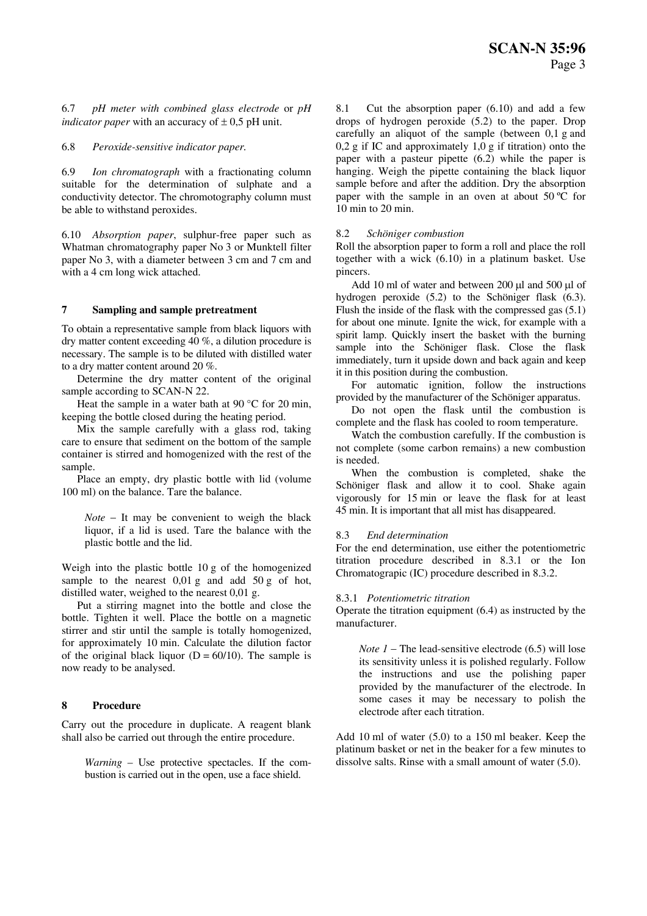6.7 *pH meter with combined glass electrode* or *pH indicator paper* with an accuracy of  $\pm$  0,5 pH unit.

## 6.8 *Peroxide-sensitive indicator paper.*

6.9 *Ion chromatograph* with a fractionating column suitable for the determination of sulphate and a conductivity detector. The chromotography column must be able to withstand peroxides.

6.10 *Absorption paper*, sulphur-free paper such as Whatman chromatography paper No 3 or Munktell filter paper No 3, with a diameter between 3 cm and 7 cm and with a 4 cm long wick attached.

## **7 Sampling and sample pretreatment**

To obtain a representative sample from black liquors with dry matter content exceeding 40 %, a dilution procedure is necessary. The sample is to be diluted with distilled water to a dry matter content around 20 %.

 Determine the dry matter content of the original sample according to SCAN-N 22.

Heat the sample in a water bath at  $90^{\circ}$ C for 20 min, keeping the bottle closed during the heating period.

 Mix the sample carefully with a glass rod, taking care to ensure that sediment on the bottom of the sample container is stirred and homogenized with the rest of the sample.

 Place an empty, dry plastic bottle with lid (volume 100 ml) on the balance. Tare the balance.

*Note* − It may be convenient to weigh the black liquor, if a lid is used. Tare the balance with the plastic bottle and the lid.

Weigh into the plastic bottle 10 g of the homogenized sample to the nearest  $0.01$  g and add  $50$  g of hot, distilled water, weighed to the nearest 0,01 g.

 Put a stirring magnet into the bottle and close the bottle. Tighten it well. Place the bottle on a magnetic stirrer and stir until the sample is totally homogenized, for approximately 10 min. Calculate the dilution factor of the original black liquor ( $D = 60/10$ ). The sample is now ready to be analysed.

## **8 Procedure**

Carry out the procedure in duplicate. A reagent blank shall also be carried out through the entire procedure.

*Warning* – Use protective spectacles. If the combustion is carried out in the open, use a face shield.

8.1 Cut the absorption paper (6.10) and add a few drops of hydrogen peroxide (5.2) to the paper. Drop carefully an aliquot of the sample (between 0,1 g and  $0.2$  g if IC and approximately  $1.0$  g if titration) onto the paper with a pasteur pipette (6.2) while the paper is hanging. Weigh the pipette containing the black liquor sample before and after the addition. Dry the absorption paper with the sample in an oven at about 50 ºC for 10 min to 20 min.

## 8.2 *Schöniger combustion*

Roll the absorption paper to form a roll and place the roll together with a wick (6.10) in a platinum basket. Use pincers.

 Add 10 ml of water and between 200 μl and 500 μl of hydrogen peroxide (5.2) to the Schöniger flask (6.3). Flush the inside of the flask with the compressed gas (5.1) for about one minute. Ignite the wick, for example with a spirit lamp. Quickly insert the basket with the burning sample into the Schöniger flask. Close the flask immediately, turn it upside down and back again and keep it in this position during the combustion.

 For automatic ignition, follow the instructions provided by the manufacturer of the Schöniger apparatus.

 Do not open the flask until the combustion is complete and the flask has cooled to room temperature.

 Watch the combustion carefully. If the combustion is not complete (some carbon remains) a new combustion is needed.

 When the combustion is completed, shake the Schöniger flask and allow it to cool. Shake again vigorously for 15 min or leave the flask for at least 45 min. It is important that all mist has disappeared.

## 8.3 *End determination*

For the end determination, use either the potentiometric titration procedure described in 8.3.1 or the Ion Chromatograpic (IC) procedure described in 8.3.2.

## 8.3.1 *Potentiometric titration*

Operate the titration equipment (6.4) as instructed by the manufacturer.

*Note 1* − The lead-sensitive electrode (6.5) will lose its sensitivity unless it is polished regularly. Follow the instructions and use the polishing paper provided by the manufacturer of the electrode. In some cases it may be necessary to polish the electrode after each titration.

Add 10 ml of water (5.0) to a 150 ml beaker. Keep the platinum basket or net in the beaker for a few minutes to dissolve salts. Rinse with a small amount of water (5.0).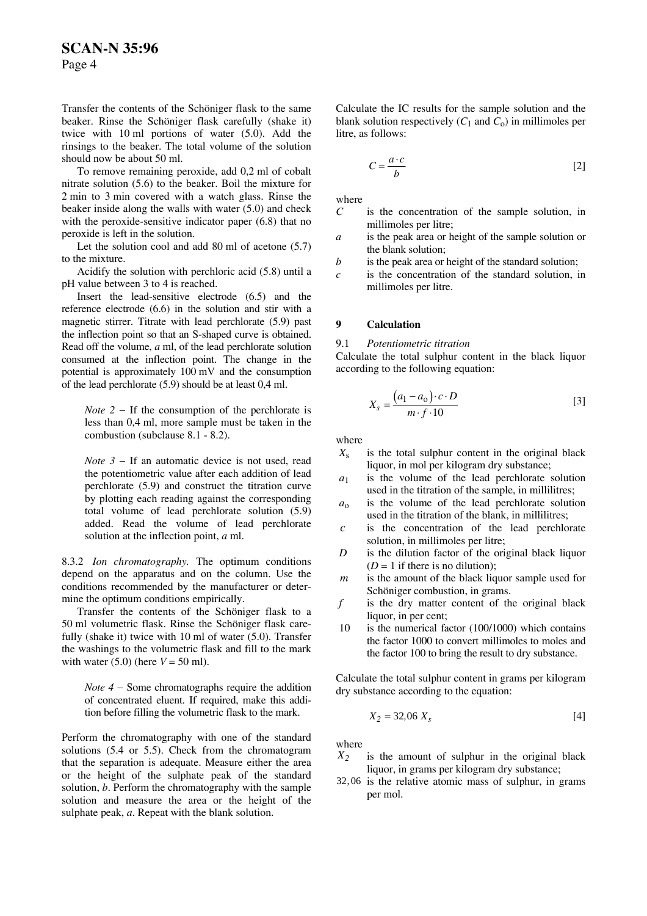Page 4

Transfer the contents of the Schöniger flask to the same beaker. Rinse the Schöniger flask carefully (shake it) twice with 10 ml portions of water (5.0). Add the rinsings to the beaker. The total volume of the solution should now be about 50 ml.

To remove remaining peroxide, add 0,2 ml of cobalt nitrate solution (5.6) to the beaker. Boil the mixture for 2 min to 3 min covered with a watch glass. Rinse the beaker inside along the walls with water  $(5.0)$  and check with the peroxide-sensitive indicator paper (6.8) that no peroxide is left in the solution.

Let the solution cool and add 80 ml of acetone (5.7)

pH value between 3 to 4 is reached.

 Insert the lead-sensitive electrode (6.5) and the reference electrode (6.6) in the solution and stir with a magnetic stirrer. Titrate with lead perchlorate (5.9) past the inflection point so that an S-shaped curve is obtained. Read off the volume, *a* ml, of the lead perchlorate solution consumed at the inflection point. The change in the potential is approximately 100 mV and the consumption of the lead perchlorate (5.9) should be at least 0,4 ml.

*Note*  $2 - If the consumption of the perchlorate is$ less than 0,4 ml, more sample must be taken in the combustion (subclause 8.1 - 8.2). where

*Note*  $3 -$  If an automatic device is not used, read  $X_s$ the potentiometric value after each addition of lead perchlorate (5.9) and construct the titration curve by plotting each reading against the corresponding total volume of lead perchlorate solution (5.9) added. Read the volume of lead perchlorate solution at the inflection point, *a* ml.

8.3.2 *Ion chromatography.* The optimum conditions depend on the apparatus and on the column. Use the conditions recommended by the manufacturer or determine the optimum conditions empirically.

Fransfer the contents of the Schöniger flask to a  $f$ 50 ml volumetric flask. Rinse the Schöniger flask carefully (shake it) twice with 10 ml of water (5.0). Transfer the washings to the volumetric flask and fill to the mark with water  $(5.0)$  (here  $V = 50$  ml).

of concentrated eluent. If required, make this addition before filling the volumetric flask to the mark.  $X$ 

Perform the chromatography with one of the standard solutions (5.4 or 5.5). Check from the chromatogram that the separation is adequate. Measure either the area or the height of the sulphate peak of the standard solution, *b*. Perform the chromatography with the sample solution and measure the area or the height of the sulphate peak, *a*. Repeat with the blank solution.

Calculate the IC results for the sample solution and the blank solution respectively  $(C_1$  and  $C_0$ ) in millimoles per litre, as follows:

$$
C = \frac{a \cdot c}{b} \tag{2}
$$

where

- is the concentration of the sample solution, in millimoles per litre; *C*
- is the peak area or height of the sample solution or the blank solution; *a*
- to the mixture.<br>Acidify the solution with perchloric acid (5.8) until a c is the concentration of the standard solution is
	- is the concentration of the standard solution, in millimoles per litre. *c*

## **9 Calculation**

9.1 *Potentiometric titration*

Calculate the total sulphur content in the black liquor according to the following equation:

$$
X_s = \frac{(a_1 - a_0) \cdot c \cdot D}{m \cdot f \cdot 10} \tag{3}
$$

- is the total sulphur content in the original black liquor, in mol per kilogram dry substance;
- is the volume of the lead perchlorate solution used in the titration of the sample, in millilitres; *a*1
- is the volume of the lead perchlorate solution used in the titration of the blank, in millilitres; *a*o
- *c* is the concentration of the lead perchlorate solution, in millimoles per litre;
- is the dilution factor of the original black liquor  $(D = 1$  if there is no dilution); *D*
- *m* is the amount of the black liquor sample used for Schöniger combustion, in grams.
- is the dry matter content of the original black liquor, in per cent:
- 10 is the numerical factor (100/1000) which contains the factor 1000 to convert millimoles to moles and the factor 100 to bring the result to dry substance.

*Note 4* – Some chromatographs require the addition *dry substance according to the equation*:  $\frac{1}{2}$ 

$$
Z_2 = 32,06 \; X_s \tag{4}
$$

where

- $X_2$  is the amount of sulphur in the original black liquor, in grams per kilogram dry substance;
- 32 06, is the relative atomic mass of sulphur, in grams per mol.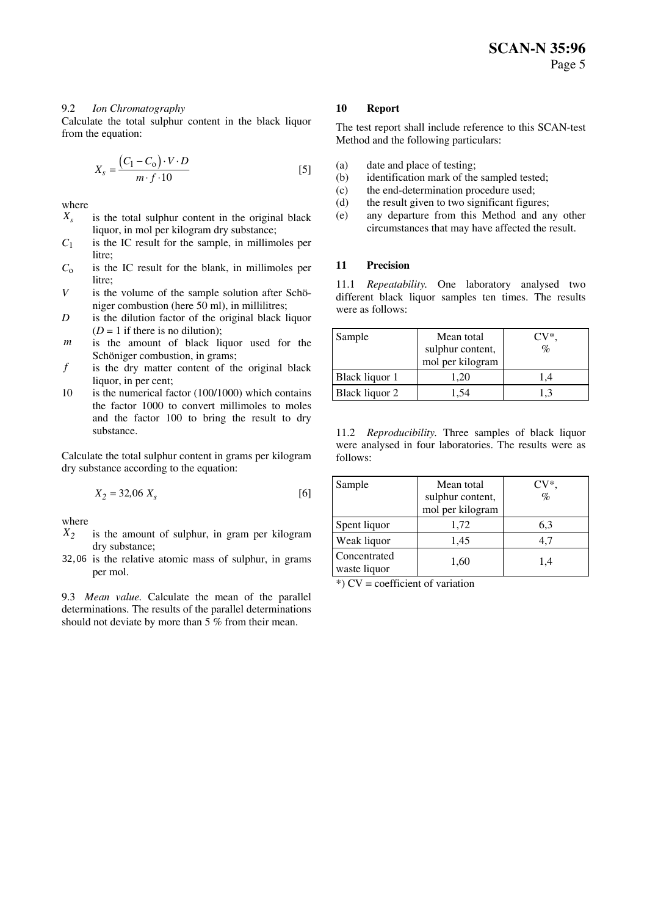## 9.2 *Ion Chromatography* **10 Report**

Calculate the total sulphur content in the black liquor From the equation:<br>
The test report shall include reference to this SCAN-test<br>
The test report shall include reference to this SCAN-test

$$
X_s = \frac{(C_1 - C_o) \cdot V \cdot D}{m \cdot f \cdot 10} \tag{5}
$$

- $X_s$  is the total sulphur content in the original black liquor, in mol per kilogram dry substance;
- $C_1$  is the IC result for the sample, in millimoles per litre;
- $C_0$  is the IC result for the blank, in millimoles per  $\frac{11}{2}$  **Precision** litre;
- *V* is the volume of the sample solution after Schöniger combustion (here 50 ml), in millilitres;
- *D* is the dilution factor of the original black liquor  $(D = 1$  if there is no dilution);
- *m* is the amount of black liquor used for the Schöniger combustion, in grams;
- *f* is the dry matter content of the original black liquor, in per cent;
- 10 is the numerical factor (100/1000) which contains the factor 1000 to convert millimoles to moles and the factor 100 to bring the result to dry substance.

Calculate the total sulphur content in grams per kilogram dry substance according to the equation:

$$
X_2 = 32,06 \; X_s \tag{6}
$$

where

- $X_2$  is the amount of sulphur, in gram per kilogram dry substance;
- 32,06 is the relative atomic mass of sulphur, in grams per mol.

9.3 *Mean value.* Calculate the mean of the parallel determinations. The results of the parallel determinations should not deviate by more than 5 % from their mean.

Method and the following particulars:

- (a) date and place of testing;<br>(b) identification mark of the
- identification mark of the sampled tested:
- (c) the end-determination procedure used;
- where (d) the result given to two significant figures;
	- (e) any departure from this Method and any other circumstances that may have affected the result.

11.1 *Repeatability*. One laboratory analysed two different black liquor samples ten times. The results were as follows:

| Sample         | Mean total       | $CV^*$ |
|----------------|------------------|--------|
|                | sulphur content, | $\%$   |
|                | mol per kilogram |        |
| Black liquor 1 | 1,20             | 1.4    |
| Black liquor 2 | 1.54             | 1.3    |

11.2 *Reproducibility.* Three samples of black liquor were analysed in four laboratories. The results were as follows:

| Sample                       | Mean total                           | $CV^*$ |
|------------------------------|--------------------------------------|--------|
|                              | sulphur content,<br>mol per kilogram | $\%$   |
| Spent liquor                 | 1,72                                 | 6,3    |
| Weak liquor                  | 1,45                                 | 4.7    |
| Concentrated<br>waste liquor | 1,60                                 | 1,4    |

\*) CV = coefficient of variation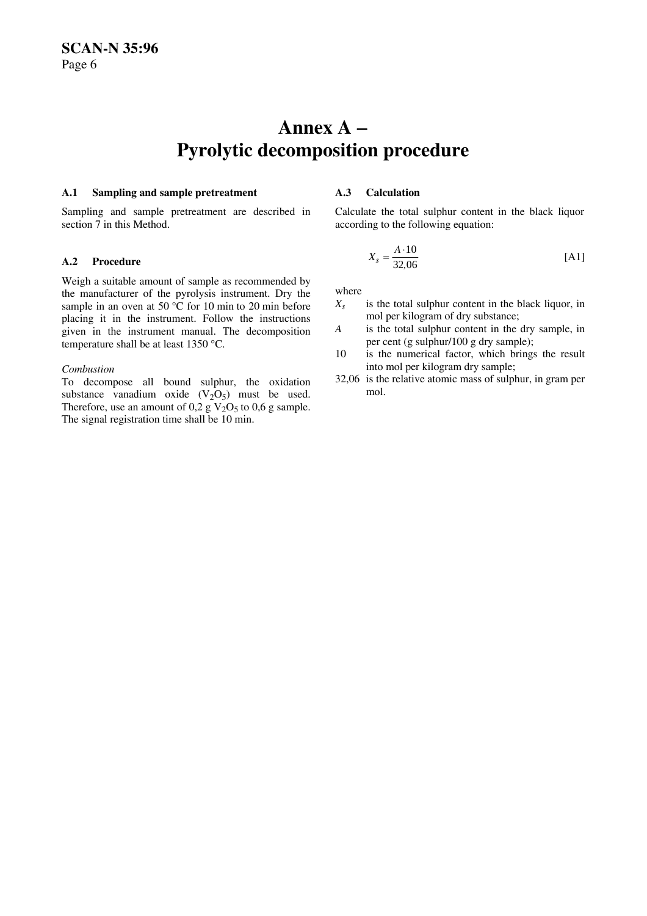## **Annex A** − **Pyrolytic decomposition procedure**

## **A.1 Sampling and sample pretreatment A.3 Calculation**

Sampling and sample pretreatment are described in section 7 in this Method.

Weigh a suitable amount of sample as recommended by the manufacturer of the pyrolysis instrument. Dry the sample in an oven at 50 °C for 10 min to 20 min before placing it in the instrument. Follow the instructions given in the instrument manual. The decomposition temperature shall be at least 1350 °C.

To decompose all bound sulphur, the oxidation  $32,06$  is the oxidation substance unpedium oxide  $(V, Q)$  must be used substance vanadium oxide  $(V_2O_5)$  must be used. Therefore, use an amount of 0,2 g  $V<sub>2</sub>O<sub>5</sub>$  to 0,6 g sample. The signal registration time shall be 10 min.

Calculate the total sulphur content in the black liquor according to the following equation:

$$
X_s = \frac{A \cdot 10}{32,06}
$$
 [A1]

where

- is the total sulphur content in the black liquor, in mol per kilogram of dry substance;  $X_{s}$
- is the total sulphur content in the dry sample, in per cent (g sulphur/100 g dry sample); *A*
- 10 is the numerical factor, which brings the result *Combustion* into mol per kilogram dry sample;
	- 32,06 is the relative atomic mass of sulphur, in gram per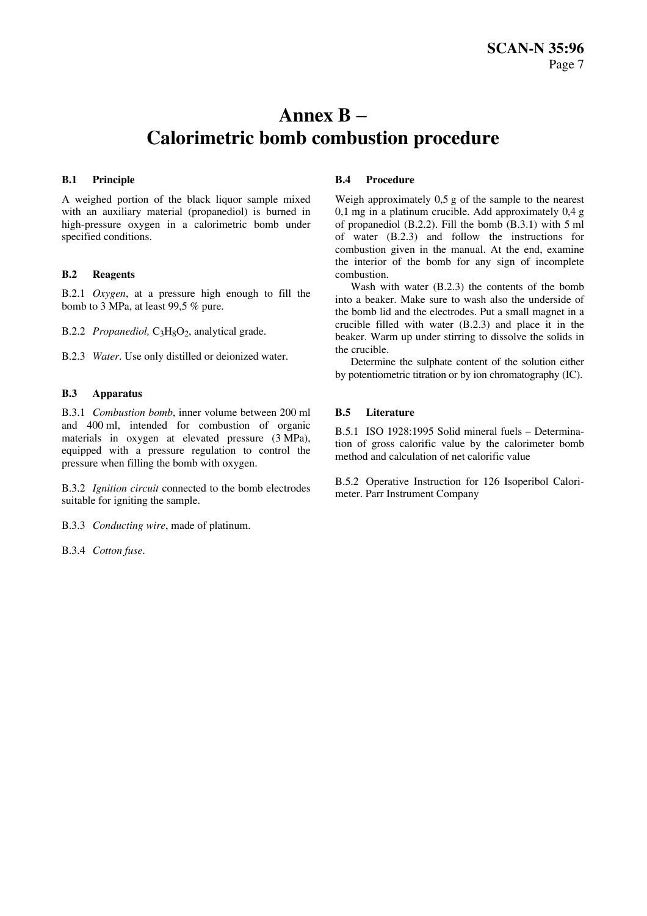## **Annex B** − **Calorimetric bomb combustion procedure**

## **B.1 Principle**

A weighed portion of the black liquor sample mixed with an auxiliary material (propanediol) is burned in high-pressure oxygen in a calorimetric bomb under specified conditions.

## **B.2 Reagents**

B.2.1 *Oxygen*, at a pressure high enough to fill the bomb to 3 MPa, at least 99,5 % pure.

B.2.2 *Propanediol*, C<sub>3</sub>H<sub>8</sub>O<sub>2</sub>, analytical grade.

B.2.3 *Water*. Use only distilled or deionized water.

## **B.3 Apparatus**

B.3.1 *Combustion bomb*, inner volume between 200 ml and 400 ml, intended for combustion of organic materials in oxygen at elevated pressure (3 MPa), equipped with a pressure regulation to control the pressure when filling the bomb with oxygen.

B.3.2 *Ignition circuit* connected to the bomb electrodes suitable for igniting the sample.

B.3.3 *Conducting wire*, made of platinum.

B.3.4 *Cotton fuse*.

## **B.4 Procedure**

Weigh approximately 0,5 g of the sample to the nearest 0,1 mg in a platinum crucible. Add approximately 0,4 g of propanediol (B.2.2). Fill the bomb (B.3.1) with 5 ml of water (B.2.3) and follow the instructions for combustion given in the manual. At the end, examine the interior of the bomb for any sign of incomplete combustion.

 Wash with water (B.2.3) the contents of the bomb into a beaker. Make sure to wash also the underside of the bomb lid and the electrodes. Put a small magnet in a crucible filled with water (B.2.3) and place it in the beaker. Warm up under stirring to dissolve the solids in the crucible.

 Determine the sulphate content of the solution either by potentiometric titration or by ion chromatography (IC).

## **B.5 Literature**

B.5.1 ISO 1928:1995 Solid mineral fuels – Determination of gross calorific value by the calorimeter bomb method and calculation of net calorific value

B.5.2 Operative Instruction for 126 Isoperibol Calorimeter. Parr Instrument Company